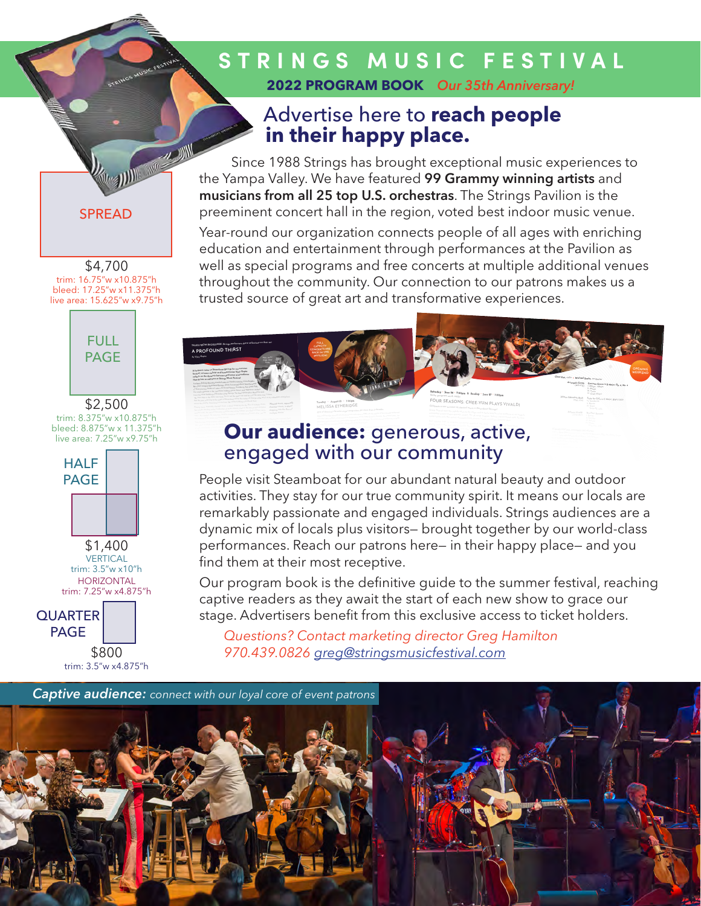### STRINGS MUSIC FESTIVAL 2022 PROGRAM BOOK Our 35th Anniversary!

## Advertise here to reach people in their happy place.

Since 1988 Strings has brought exceptional music experiences to the Yampa Valley. We have featured 99 Grammy winning artists and musicians from all 25 top U.S. orchestras. The Strings Pavilion is the preeminent concert hall in the region, voted best indoor music venue.

Year-round our organization connects people of all ages with enriching education and entertainment through performances at the Pavilion as well as special programs and free concerts at multiple additional venues throughout the community. Our connection to our patrons makes us a trusted source of great art and transformative experiences.



## Our audience: generous, active, engaged with our community

People visit Steamboat for our abundant natural beauty and outdoor activities. They stay for our true community spirit. It means our locals are remarkably passionate and engaged individuals. Strings audiences are a dynamic mix of locals plus visitors- brought together by our world-class performances. Reach our patrons here– in their happy place– and you find them at their most receptive.

Our program book is the definitive quide to the summer festival, reaching captive readers as they await the start of each new show to grace our stage. Advertisers benefit from this exclusive access to ticket holders.

Questions? Contact marketing director Greg Hamilton 970.439.0826 greg@stringsmusicfestival.com



**SPRFAD** 

#### \$4,700 trim: 16.75"w x10.875"h bleed: 17.25"w x11.375"h live area: 15.625"w x9.75"h



\$2,500 trim: 8.375"w x10.875"h<br>bleed: 8.875"w x 11.375"h live area: 7.25"w x9.75"h



\$1,400 **VERTICAL** trim: 3.5"w x10"h **HORIZONTAL** trim: 7.25"w x4.875"h